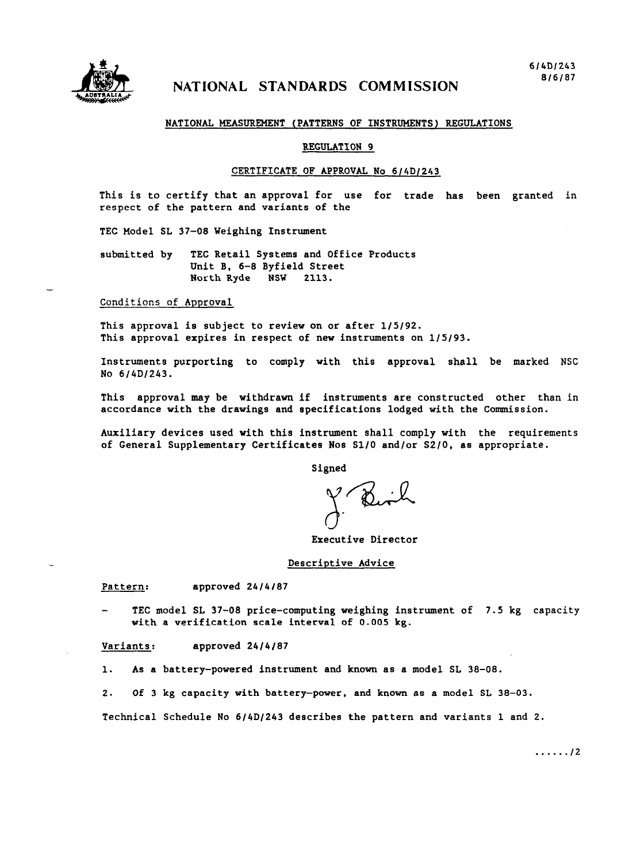

# NATIONAL STANDARDS COMMISSION

## NATIONAL MEASUREMENT (PATTERNS OF INSTRUMENTS) REGULATIONS

#### REGULATION 9

# CERTIFICATE OF APPROVAL *No* 6/4D/243

This is to certify that an approval for use for trade has been granted in respect of the pattern and variants of the

TEC Model SL 37-08 Weighing Instrument

submitted by TEC Retail Systems and Office Products Unit B, 6-8 Byfield Street North Ryde NSW 2113.

Conditions of Approval

This approval is subject to review on or after l/5/92. This approval expires in respect of new instruments on l/S/93.

Instruments purporting to comply with this approval shall be marked NSC No 6/4D/243.

This approval may be withdrawn if instruments are constructed other than in accordance with the drawings and specifications lodged with the Commission.

Auxiliary devices used with this instrument shall comply with the requirements of General Supplementary Certificates Nos SIIO and/or S2/0, as appropriate.

Signed

**x**  Executive Director

### Descriptive Advice

Pattern: approved 24/4/87

TEC model SL 37-08 price-computing weighing instrument of 7.5 kg capacity with a verification scale interval of 0.005 kg.

Variants: approved *2414107* 

1. As a battery-powered instrument and known as a model SL 38-08.

*2.* Of 3 kg capacity with battery-power, and known as a model SL 38-03.

Technical Schedule No 6/4D/243 describes the pattern and variants 1 and 2.

. . . . . . *I2*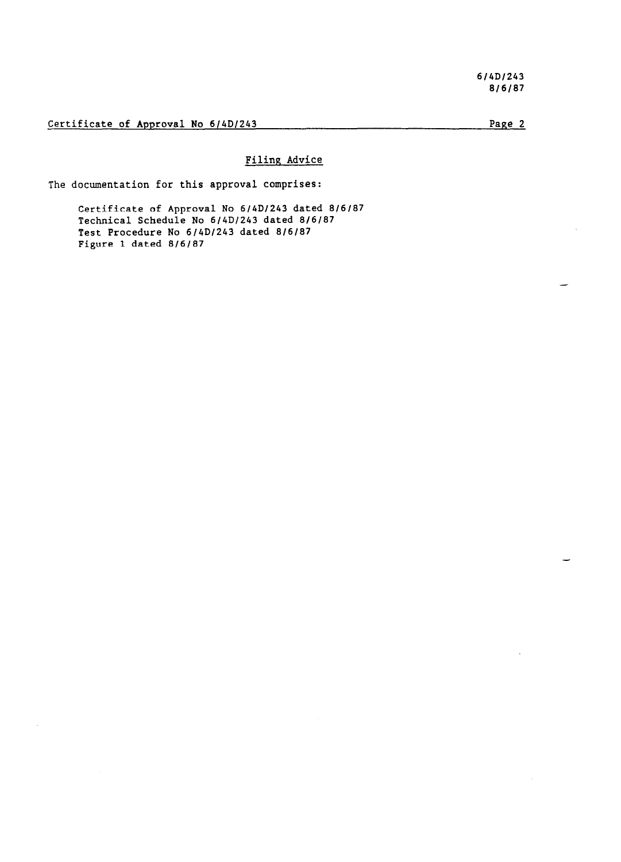Certificate of Approval No 6/4D/243 Page 2

# Filing Advice

The documentation for this approval comprises:

Certificate of Approval No 6/4D/243 dated 8/6/87 Technical Schedule No 6/4D/243 dated *8/6/07*  Test Procedure No  $6/4D/243$  dated  $8/6/87$ Figure 1 dated *0/6/07*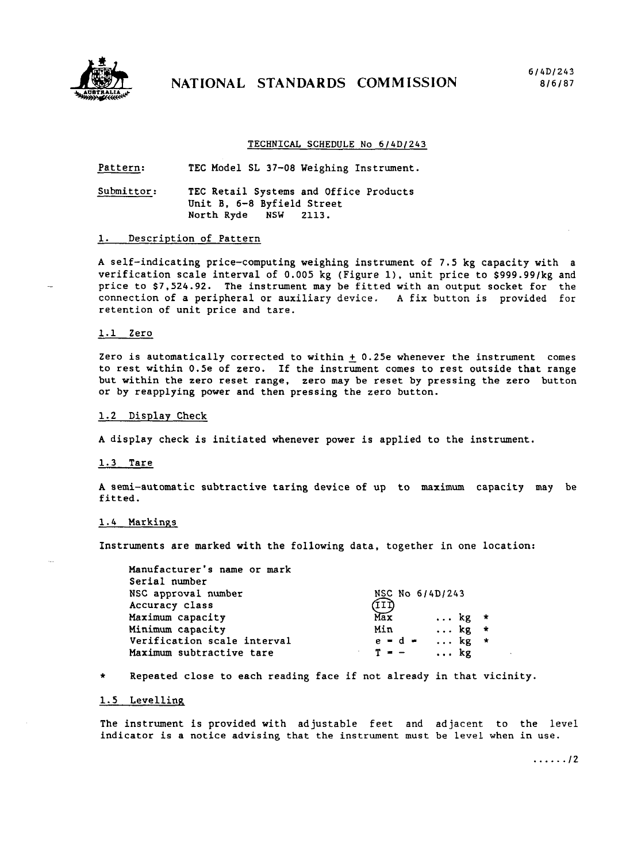

# NATIONAL STANDARDS COMMISSION

## TECHNICAL SCHEDULE No 6/4D/243

Pattern: TEC Model SL 37-08 Weighing Instrument.

Submittor: TEC Retail Systems and Office Products Unit B, 6-8 Byfield Street North Ryde NSW 2113.

# 1. Description of Pattern

A self-indicating price-computing weighing instrument of 7.5 kg capacity with a verification scale interval of 0.005 kg (Figure 1). unit price to \$999.99/kg and price to \$7,524.92. The instrument may be fitted with an output socket for the connection of a peripheral or auxiliary device. A fix button is provided for retention of unit price and tare.

# 1.1 Zero

Zero is automatically corrected to within  $+$  0.25e whenever the instrument comes to rest within 0.5e of zero. If the instrument comes to rest outside that range but within the zero reset range, zero may be reset by pressing the zero button or by reapplying power and then pressing the zero button.

#### 1.2 Display Check

A display check is initiated whenever power is applied to the instrument.

#### 1.3 Tare

A semi-automatic subtractive taring device of up to maximum capacity may be fitted.

### 1.4 Markings

Instruments are marked with the following data, together in one location:

| Manufacturer's name or mark<br>Serial number |                              |  |
|----------------------------------------------|------------------------------|--|
| NSC approval number                          | NSC No 6/4D/243              |  |
| Accuracy class                               | (III                         |  |
| Maximum capacity                             | Max<br>$\ldots$ kg $\star$   |  |
| Minimum capacity                             | $\ldots$ kg $*$<br>Min       |  |
| Verification scale interval                  | $e = d$ $\bullet$ kg $\star$ |  |
| Maximum subtractive tare                     | $T = -$<br>$\ldots$ kg       |  |

Repeated close to each reading face if not already in that vicinity.

# 1.5 Levelling

The instrument is provided with adjustable feet and adjacent to the level indicator is a notice advising that the instrument must be level when in use.

. . . . . . *12*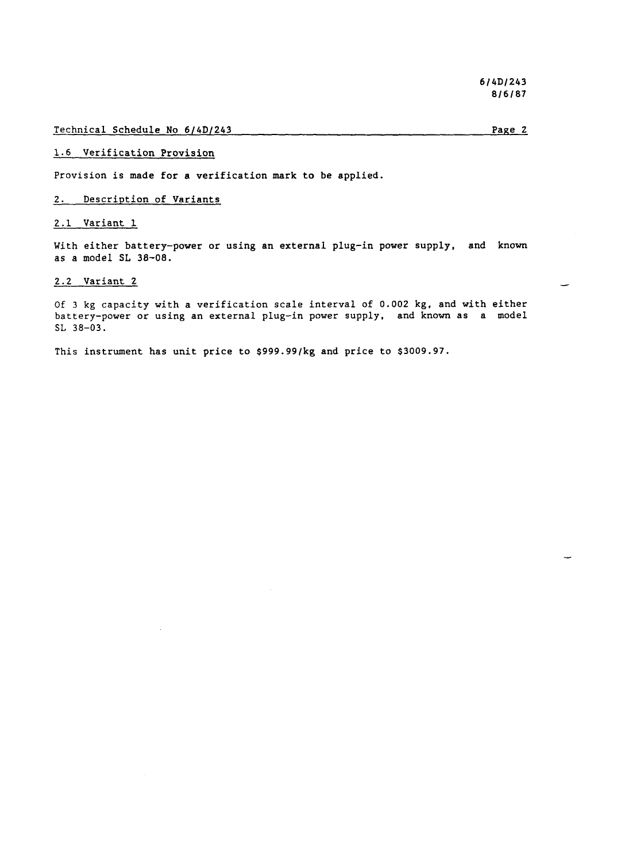### Technical Schedule No 6/4D/243

Page 2

# 1.6 Verification Provision

Provision is made for a verification mark to be applied.

# 2. Description of Variants

# 2.1 Variant 1

With either battery-power or using an external plug-in power supply, and known as a model SL 38-08.

# 2.2 Variant 2

Of 3 kg capacity with a verification scale interval of 0.002 kg, and with either battery-power or using an external plug-in power supply, and known as a model SL 38-03.

This instrument has unit price to \$999.99/kg and price to \$3009.97.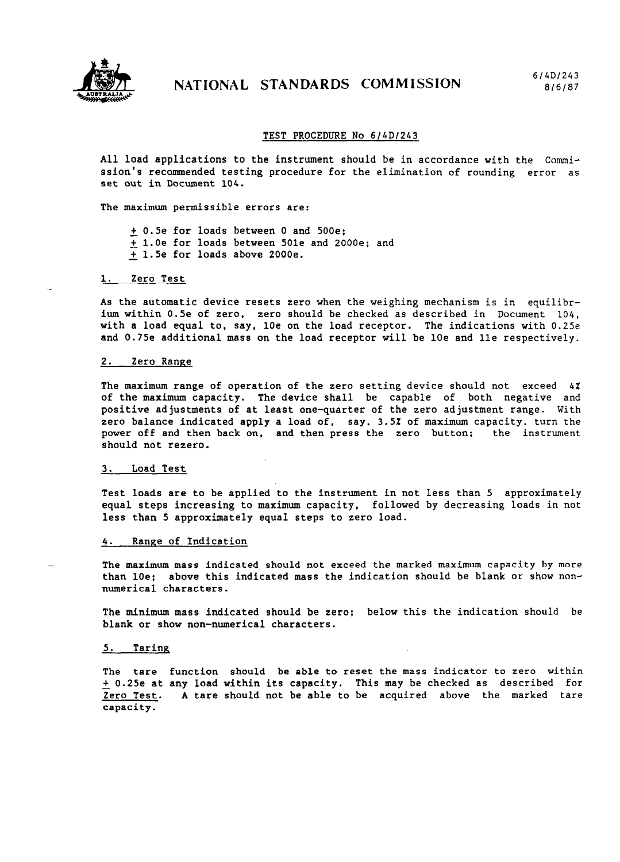

### TEST PROCEDURE No *614Dl243*

All load applications to the instrument should be in accordance with the Commission's recommended testing procedure for the elimination of rounding error as set out in Document 104.

The maximum permissible errors are:

+ 0.5e for loads between 0 and 500e; + l.Oe for loads between 501e and 2000e; and + 1.5e for loads above 2000e.

## 1. Zero Test

As the automatic device resets zero when the weighing mechanism is in equilibrium within 0.5e of zero, zero should be checked as described in Document 104, with a load equal to, say, 10e on the load receptor. The indications with 0.25e and 0.75e additional mass on the load receptor will be 10e and lle respectively.

#### *2.* Zero Range

The maximum range of operation of the zero setting device should not exceed 42 of the maximum capacity. The device shall be capable of both negative and positive adjustments of at least one-quarter of the zero adjustment range. With zero balance indicated apply a load of, say, 3.5X of maximum capacity, turn the power off and then back on, and then press the zero button: the instrument should not rezero.

#### *3.* Load Test

Test loads are to be applied to the instrument in not less than 5 approximately equal steps increasing to maximum capacity, followed by decreasing loads in not less than 5 approximately equal steps to zero load.

## *4.* Range of Indication

The maximum mass indicated should not exceed the marked maximum capacity by more than 10e; above this indicated mass the indication should be blank or show nonnumerical characters.

The minimum mass indicated should be zero: below this the indication should be blank or show non-numerical characters.

### *5.* Taring

The tare function should be able to reset the mass indicator to zero within + 0.25e at any load within its capacity. This may be checked as described for Zero Test. A tare should not be able to be acquired above the marked tare capacity.